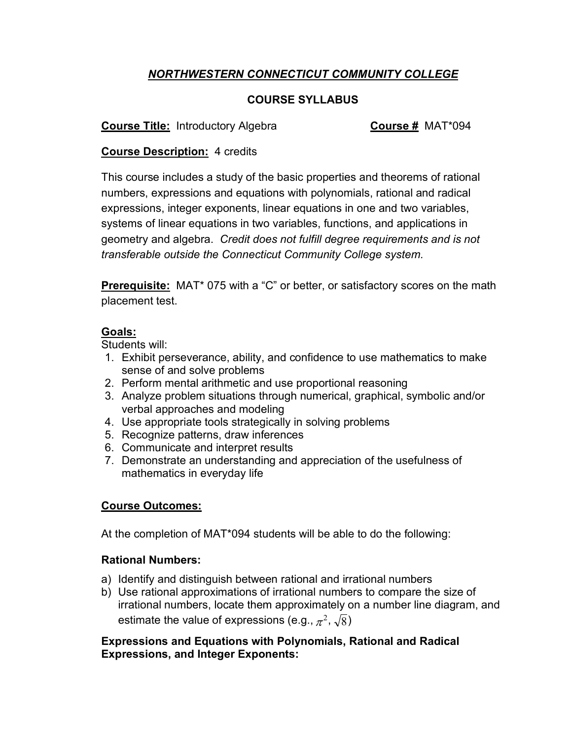# *NORTHWESTERN CONNECTICUT COMMUNITY COLLEGE*

### **COURSE SYLLABUS**

## **Course Title:** Introductory Algebra **COULCE 15 COURSE #** MAT\*094

### **Course Description:** 4 credits

This course includes a study of the basic properties and theorems of rational numbers, expressions and equations with polynomials, rational and radical expressions, integer exponents, linear equations in one and two variables, systems of linear equations in two variables, functions, and applications in geometry and algebra. *Credit does not fulfill degree requirements and is not transferable outside the Connecticut Community College system.* 

**Prerequisite:** MAT\* 075 with a "C" or better, or satisfactory scores on the math placement test.

### **Goals:**

Students will:

- 1. Exhibit perseverance, ability, and confidence to use mathematics to make sense of and solve problems
- 2. Perform mental arithmetic and use proportional reasoning
- 3. Analyze problem situations through numerical, graphical, symbolic and/or verbal approaches and modeling
- 4. Use appropriate tools strategically in solving problems
- 5. Recognize patterns, draw inferences
- 6. Communicate and interpret results
- 7. Demonstrate an understanding and appreciation of the usefulness of mathematics in everyday life

## **Course Outcomes:**

At the completion of MAT\*094 students will be able to do the following:

## **Rational Numbers:**

- a) Identify and distinguish between rational and irrational numbers
- b) Use rational approximations of irrational numbers to compare the size of irrational numbers, locate them approximately on a number line diagram, and estimate the value of expressions (e.g.,  $\pi^2$ ,  $\sqrt{8})$

### **Expressions and Equations with Polynomials, Rational and Radical Expressions, and Integer Exponents:**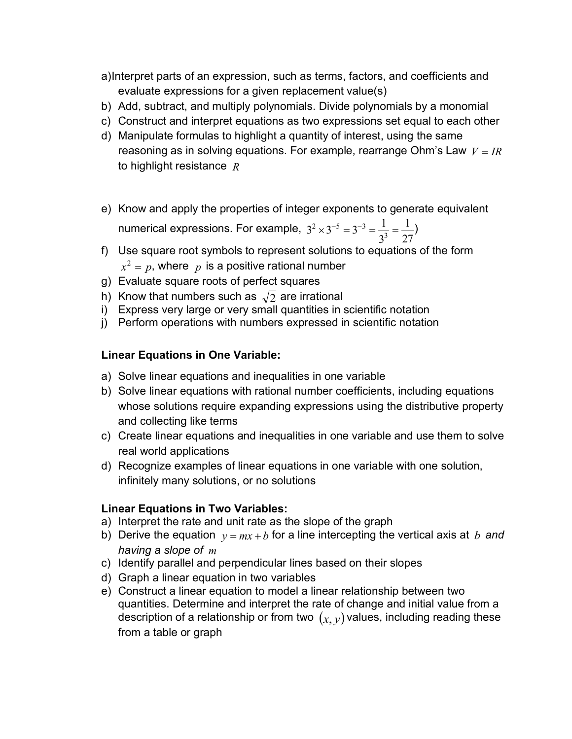- a)Interpret parts of an expression, such as terms, factors, and coefficients and evaluate expressions for a given replacement value(s)
- b) Add, subtract, and multiply polynomials. Divide polynomials by a monomial
- c) Construct and interpret equations as two expressions set equal to each other
- d) Manipulate formulas to highlight a quantity of interest, using the same reasoning as in solving equations. For example, rearrange Ohm's Law  $V = IR$ to highlight resistance *R*
- e) Know and apply the properties of integer exponents to generate equivalent numerical expressions. For example,  $3^2 \times 3^{-5} = 3^{-3} = \frac{1}{2} = \frac{1}{2}$ 27 1  $3^2 \times 3^{-5} = 3^{-3} = \frac{1}{3^3} =$
- f) Use square root symbols to represent solutions to equations of the form  $x^2 = p$ , where  $|p|$  is a positive rational number
- g) Evaluate square roots of perfect squares
- h) Know that numbers such as  $\sqrt{2}$  are irrational
- i) Express very large or very small quantities in scientific notation
- j) Perform operations with numbers expressed in scientific notation

#### **Linear Equations in One Variable:**

- a) Solve linear equations and inequalities in one variable
- b) Solve linear equations with rational number coefficients, including equations whose solutions require expanding expressions using the distributive property and collecting like terms
- c) Create linear equations and inequalities in one variable and use them to solve real world applications
- d) Recognize examples of linear equations in one variable with one solution, infinitely many solutions, or no solutions

#### **Linear Equations in Two Variables:**

- a) Interpret the rate and unit rate as the slope of the graph
- b) Derive the equation  $y = mx + b$  for a line intercepting the vertical axis at *b* and *having a slope of m*
- c) Identify parallel and perpendicular lines based on their slopes
- d) Graph a linear equation in two variables
- e) Construct a linear equation to model a linear relationship between two quantities. Determine and interpret the rate of change and initial value from a description of a relationship or from two  $(x, y)$  values, including reading these from a table or graph